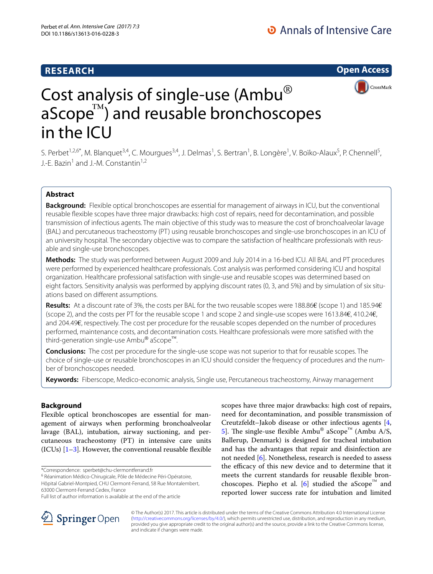## **RESEARCH**

**Open Access**



# Cost analysis of single-use (Ambu®  $a$ Scope $I^{\text{m}}$ ) and reusable bronchoscopes in the ICU

S. Perbet<sup>1,2,6\*</sup>, M. Blanquet<sup>3,4</sup>, C. Mourgues<sup>3,4</sup>, J. Delmas<sup>1</sup>, S. Bertran<sup>1</sup>, B. Longère<sup>1</sup>, V. Boïko-Alaux<sup>5</sup>, P. Chennell<sup>5</sup>, J.-E. Bazin<sup>1</sup> and J.-M. Constantin<sup>1,2</sup>

## **Abstract**

**Background:** Flexible optical bronchoscopes are essential for management of airways in ICU, but the conventional reusable flexible scopes have three major drawbacks: high cost of repairs, need for decontamination, and possible transmission of infectious agents. The main objective of this study was to measure the cost of bronchoalveolar lavage (BAL) and percutaneous tracheostomy (PT) using reusable bronchoscopes and single-use bronchoscopes in an ICU of an university hospital. The secondary objective was to compare the satisfaction of healthcare professionals with reusable and single-use bronchoscopes.

**Methods:** The study was performed between August 2009 and July 2014 in a 16-bed ICU. All BAL and PT procedures were performed by experienced healthcare professionals. Cost analysis was performed considering ICU and hospital organization. Healthcare professional satisfaction with single-use and reusable scopes was determined based on eight factors. Sensitivity analysis was performed by applying discount rates (0, 3, and 5%) and by simulation of six situations based on different assumptions.

**Results:** At a discount rate of 3%, the costs per BAL for the two reusable scopes were 188.86€ (scope 1) and 185.94€ (scope 2), and the costs per PT for the reusable scope 1 and scope 2 and single-use scopes were 1613.84€, 410.24€, and 204.49€, respectively. The cost per procedure for the reusable scopes depended on the number of procedures performed, maintenance costs, and decontamination costs. Healthcare professionals were more satisfied with the third-generation single-use Ambu® aScope™.

**Conclusions:** The cost per procedure for the single-use scope was not superior to that for reusable scopes. The choice of single-use or reusable bronchoscopes in an ICU should consider the frequency of procedures and the number of bronchoscopes needed.

**Keywords:** Fiberscope, Medico-economic analysis, Single use, Percutaneous tracheostomy, Airway management

## **Background**

Flexible optical bronchoscopes are essential for management of airways when performing bronchoalveolar lavage (BAL), intubation, airway suctioning, and percutaneous tracheostomy (PT) in intensive care units  $(ICUs)$  [[1–](#page-4-0)[3\]](#page-4-1). However, the conventional reusable flexible

\*Correspondence: sperbet@chu‑clermontferrand.fr

<sup>6</sup> Réanimation Médico-Chirugicale, Pôle de Médecine Péri-Opératoire,

Hôpital Gabriel‑Montpied, CHU Clermont-Ferrand, 58 Rue Montalembert, 63000 Clermont‑Ferrand Cedex, France





© The Author(s) 2017. This article is distributed under the terms of the Creative Commons Attribution 4.0 International License [\(http://creativecommons.org/licenses/by/4.0/\)](http://creativecommons.org/licenses/by/4.0/), which permits unrestricted use, distribution, and reproduction in any medium, provided you give appropriate credit to the original author(s) and the source, provide a link to the Creative Commons license, and indicate if changes were made.

Full list of author information is available at the end of the article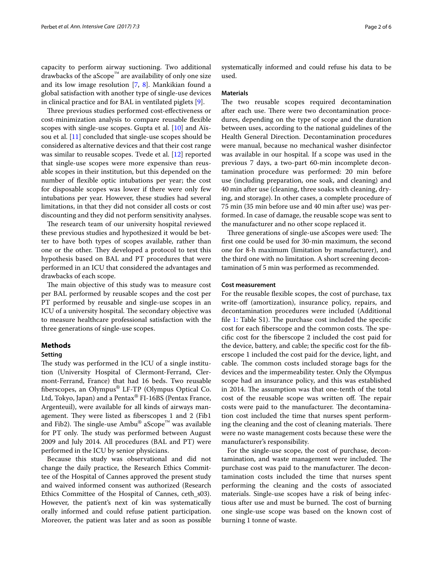capacity to perform airway suctioning. Two additional drawbacks of the aScope™ are availability of only one size and its low image resolution [[7,](#page-4-5) [8\]](#page-5-0). Mankikian found a global satisfaction with another type of single-use devices in clinical practice and for BAL in ventilated piglets [\[9](#page-5-1)].

Three previous studies performed cost-effectiveness or cost-minimization analysis to compare reusable flexible scopes with single-use scopes. Gupta et al. [\[10](#page-5-2)] and Aïssou et al. [[11\]](#page-5-3) concluded that single-use scopes should be considered as alternative devices and that their cost range was similar to reusable scopes. Tvede et al. [\[12\]](#page-5-4) reported that single-use scopes were more expensive than reusable scopes in their institution, but this depended on the number of flexible optic intubations per year; the cost for disposable scopes was lower if there were only few intubations per year. However, these studies had several limitations, in that they did not consider all costs or cost discounting and they did not perform sensitivity analyses.

The research team of our university hospital reviewed these previous studies and hypothesized it would be better to have both types of scopes available, rather than one or the other. They developed a protocol to test this hypothesis based on BAL and PT procedures that were performed in an ICU that considered the advantages and drawbacks of each scope.

The main objective of this study was to measure cost per BAL performed by reusable scopes and the cost per PT performed by reusable and single-use scopes in an ICU of a university hospital. The secondary objective was to measure healthcare professional satisfaction with the three generations of single-use scopes.

## **Methods**

#### **Setting**

The study was performed in the ICU of a single institution (University Hospital of Clermont-Ferrand, Clermont-Ferrand, France) that had 16 beds. Two reusable fiberscopes, an Olympus® LF-TP (Olympus Optical Co. Ltd, Tokyo, Japan) and a Pentax® FI-16BS (Pentax France, Argenteuil), were available for all kinds of airways management. They were listed as fiberscopes 1 and 2 (Fib1 and Fib2). The single-use  $Ambu^{\circledR}$  aScope<sup>™</sup> was available for PT only. The study was performed between August 2009 and July 2014. All procedures (BAL and PT) were performed in the ICU by senior physicians.

Because this study was observational and did not change the daily practice, the Research Ethics Committee of the Hospital of Cannes approved the present study and waived informed consent was authorized (Research Ethics Committee of the Hospital of Cannes, ceth\_s03). However, the patient's next of kin was systematically orally informed and could refuse patient participation. Moreover, the patient was later and as soon as possible systematically informed and could refuse his data to be used.

#### **Materials**

The two reusable scopes required decontamination after each use. There were two decontamination procedures, depending on the type of scope and the duration between uses, according to the national guidelines of the Health General Direction. Decontamination procedures were manual, because no mechanical washer disinfector was available in our hospital. If a scope was used in the previous 7 days, a two-part 60-min incomplete decontamination procedure was performed: 20 min before use (including preparation, one soak, and cleaning) and 40 min after use (cleaning, three soaks with cleaning, drying, and storage). In other cases, a complete procedure of 75 min (35 min before use and 40 min after use) was performed. In case of damage, the reusable scope was sent to the manufacturer and no other scope replaced it.

Three generations of single-use aScopes were used: The first one could be used for 30-min maximum, the second one for 8-h maximum (limitation by manufacturer), and the third one with no limitation. A short screening decontamination of 5 min was performed as recommended.

#### **Cost measurement**

For the reusable flexible scopes, the cost of purchase, tax write-off (amortization), insurance policy, repairs, and decontamination procedures were included (Additional file [1](#page-4-6): Table S1). The purchase cost included the specific cost for each fiberscope and the common costs. The specific cost for the fiberscope 2 included the cost paid for the device, battery, and cable; the specific cost for the fiberscope 1 included the cost paid for the device, light, and cable. The common costs included storage bags for the devices and the impermeability tester. Only the Olympus scope had an insurance policy, and this was established in 2014. The assumption was that one-tenth of the total cost of the reusable scope was written off. The repair costs were paid to the manufacturer. The decontamination cost included the time that nurses spent performing the cleaning and the cost of cleaning materials. There were no waste management costs because these were the manufacturer's responsibility.

For the single-use scope, the cost of purchase, decontamination, and waste management were included. The purchase cost was paid to the manufacturer. The decontamination costs included the time that nurses spent performing the cleaning and the costs of associated materials. Single-use scopes have a risk of being infectious after use and must be burned. The cost of burning one single-use scope was based on the known cost of burning 1 tonne of waste.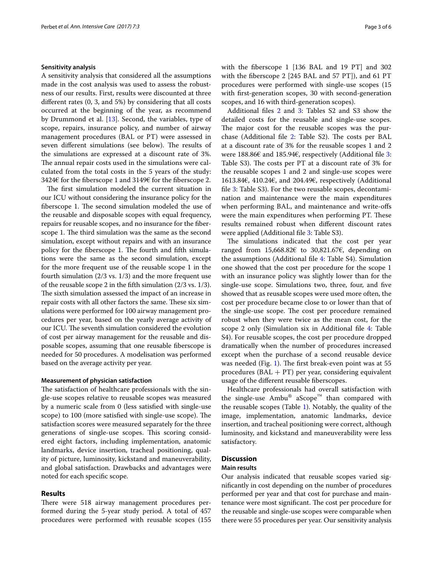## **Sensitivity analysis**

A sensitivity analysis that considered all the assumptions made in the cost analysis was used to assess the robustness of our results. First, results were discounted at three different rates (0, 3, and 5%) by considering that all costs occurred at the beginning of the year, as recommend by Drummond et al. [[13\]](#page-5-5). Second, the variables, type of scope, repairs, insurance policy, and number of airway management procedures (BAL or PT) were assessed in seven different simulations (see below). The results of the simulations are expressed at a discount rate of 3%. The annual repair costs used in the simulations were calculated from the total costs in the 5 years of the study: 3424€ for the fiberscope 1 and 3149€ for the fiberscope 2.

The first simulation modeled the current situation in our ICU without considering the insurance policy for the fiberscope 1. The second simulation modeled the use of the reusable and disposable scopes with equal frequency, repairs for reusable scopes, and no insurance for the fiberscope 1. The third simulation was the same as the second simulation, except without repairs and with an insurance policy for the fiberscope 1. The fourth and fifth simulations were the same as the second simulation, except for the more frequent use of the reusable scope 1 in the fourth simulation (2/3 vs. 1/3) and the more frequent use of the reusable scope 2 in the fifth simulation (2/3 vs. 1/3). The sixth simulation assessed the impact of an increase in repair costs with all other factors the same. These six simulations were performed for 100 airway management procedures per year, based on the yearly average activity of our ICU. The seventh simulation considered the evolution of cost per airway management for the reusable and disposable scopes, assuming that one reusable fiberscope is needed for 50 procedures. A modelisation was performed based on the average activity per year.

#### **Measurement of physician satisfaction**

The satisfaction of healthcare professionals with the single-use scopes relative to reusable scopes was measured by a numeric scale from 0 (less satisfied with single-use scope) to 100 (more satisfied with single-use scope). The satisfaction scores were measured separately for the three generations of single-use scopes. This scoring considered eight factors, including implementation, anatomic landmarks, device insertion, tracheal positioning, quality of picture, luminosity, kickstand and maneuverability, and global satisfaction. Drawbacks and advantages were noted for each specific scope.

## **Results**

There were 518 airway management procedures performed during the 5-year study period. A total of 457 procedures were performed with reusable scopes (155 with the fiberscope 1 [136 BAL and 19 PT] and 302 with the fiberscope 2 [245 BAL and 57 PT]), and 61 PT procedures were performed with single-use scopes (15 with first-generation scopes, 30 with second-generation scopes, and 16 with third-generation scopes).

Additional files [2](#page-4-7) and [3:](#page-4-8) Tables S2 and S3 show the detailed costs for the reusable and single-use scopes. The major cost for the reusable scopes was the purchase (Additional file [2:](#page-4-7) Table S2). The costs per BAL at a discount rate of 3% for the reusable scopes 1 and 2 were 188.86€ and 185.94€, respectively (Additional file [3](#page-4-8): Table S3). The costs per PT at a discount rate of 3% for the reusable scopes 1 and 2 and single-use scopes were 1613.84€, 410.24€, and 204.49€, respectively (Additional file [3:](#page-4-8) Table S3). For the two reusable scopes, decontamination and maintenance were the main expenditures when performing BAL, and maintenance and write-offs were the main expenditures when performing PT. These results remained robust when different discount rates were applied (Additional file [3](#page-4-8): Table S3).

The simulations indicated that the cost per year ranged from  $15,668.82 \in \infty$  30,821.67 $\in$ , depending on the assumptions (Additional file [4](#page-4-9): Table S4). Simulation one showed that the cost per procedure for the scope 1 with an insurance policy was slightly lower than for the single-use scope. Simulations two, three, four, and five showed that as reusable scopes were used more often, the cost per procedure became close to or lower than that of the single-use scope. The cost per procedure remained robust when they were twice as the mean cost, for the scope 2 only (Simulation six in Additional file [4](#page-4-9): Table S4). For reusable scopes, the cost per procedure dropped dramatically when the number of procedures increased except when the purchase of a second reusable device was needed (Fig. [1\)](#page-3-0). The first break-even point was at 55 procedures (BAL + PT) per year, considering equivalent usage of the different reusable fiberscopes.

Healthcare professionals had overall satisfaction with the single-use Ambu® aScope™ than compared with the reusable scopes (Table [1](#page-3-1)). Notably, the quality of the image, implementation, anatomic landmarks, device insertion, and tracheal positioning were correct, although luminosity, and kickstand and maneuverability were less satisfactory.

#### **Discussion**

#### **Main results**

Our analysis indicated that reusable scopes varied significantly in cost depending on the number of procedures performed per year and that cost for purchase and maintenance were most significant. The cost per procedure for the reusable and single-use scopes were comparable when there were 55 procedures per year. Our sensitivity analysis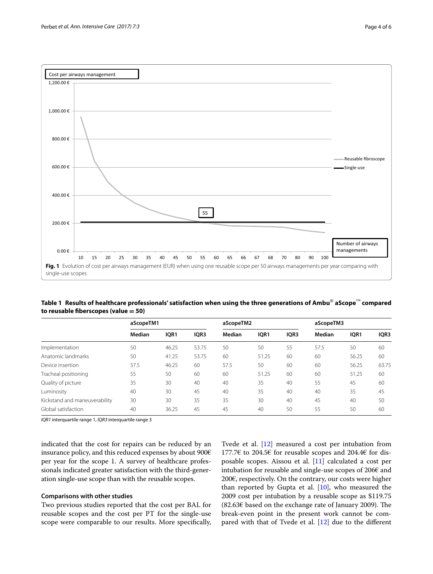

<span id="page-3-1"></span><span id="page-3-0"></span>**Table 1 Results of healthcare professionals' satisfaction when using the three generations of Ambu**® **aScope**™ **compared to reusable fiberscopes (value = 50)**

| aScopeTM1 |       |       | aScopeTM2 |       |    | aScopeTM3 |       |       |
|-----------|-------|-------|-----------|-------|----|-----------|-------|-------|
|           |       |       |           |       |    |           |       |       |
| 50        | 46.25 | 53.75 | 50        | 50    | 55 | 57.5      | 50    | 60    |
| 50        | 41.25 | 53.75 | 60        | 51.25 | 60 | 60        | 56.25 | 60    |
| 57.5      | 46.25 | 60    | 57.5      | 50    | 60 | 60        | 56.25 | 63.75 |
| 55        | 50    | 60    | 60        | 51.25 | 60 | 60        | 51.25 | 60    |
| 35        | 30    | 40    | 40        | 35    | 40 | 55        | 45    | 60    |
| 40        | 30    | 45    | 40        | 35    | 40 | 40        | 35    | 45    |
| 30        | 30    | 35    | 35        | 30    | 40 | 45        | 40    | 50    |
| 40        | 36.25 | 45    | 45        | 40    | 50 | 55        | 50    | 60    |
|           |       |       |           |       |    |           |       |       |

*IQR1* interquartile range 1, *IQR3* interquartile range 3

indicated that the cost for repairs can be reduced by an insurance policy, and this reduced expenses by about 900€ per year for the scope 1. A survey of healthcare professionals indicated greater satisfaction with the third-generation single-use scope than with the reusable scopes.

## **Comparisons with other studies**

Two previous studies reported that the cost per BAL for reusable scopes and the cost per PT for the single-use scope were comparable to our results. More specifically, Tvede et al. [\[12](#page-5-4)] measured a cost per intubation from 177.7€ to 204.5€ for reusable scopes and 204.4€ for disposable scopes. Aïssou et al. [\[11](#page-5-3)] calculated a cost per intubation for reusable and single-use scopes of 206€ and 200€, respectively. On the contrary, our costs were higher than reported by Gupta et al.  $[10]$  $[10]$ , who measured the 2009 cost per intubation by a reusable scope as \$119.75 (82.63€ based on the exchange rate of January 2009). The break-even point in the present work cannot be compared with that of Tvede et al. [\[12](#page-5-4)] due to the different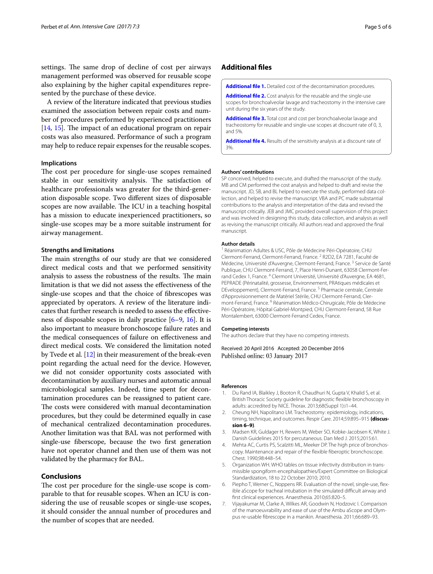settings. The same drop of decline of cost per airways management performed was observed for reusable scope also explaining by the higher capital expenditures represented by the purchase of these device.

A review of the literature indicated that previous studies examined the association between repair costs and number of procedures performed by experienced practitioners [[14](#page-5-6), [15](#page-5-7)]. The impact of an educational program on repair costs was also measured. Performance of such a program may help to reduce repair expenses for the reusable scopes.

## **Implications**

The cost per procedure for single-use scopes remained stable in our sensitivity analysis. The satisfaction of healthcare professionals was greater for the third-generation disposable scope. Two different sizes of disposable scopes are now available. The ICU in a teaching hospital has a mission to educate inexperienced practitioners, so single-use scopes may be a more suitable instrument for airway management.

#### **Strengths and limitations**

The main strengths of our study are that we considered direct medical costs and that we performed sensitivity analysis to assess the robustness of the results. The main limitation is that we did not assess the effectiveness of the single-use scopes and that the choice of fibrescopes was appreciated by operators. A review of the literature indicates that further research is needed to assess the effectiveness of disposable scopes in daily practice [\[6](#page-4-4)[–9,](#page-5-1) [16](#page-5-8)]. It is also important to measure bronchoscope failure rates and the medical consequences of failure on effectiveness and direct medical costs. We considered the limitation noted by Tvede et al. [\[12](#page-5-4)] in their measurement of the break-even point regarding the actual need for the device. However, we did not consider opportunity costs associated with decontamination by auxiliary nurses and automatic annual microbiological samples. Indeed, time spent for decontamination procedures can be reassigned to patient care. The costs were considered with manual decontamination procedures, but they could be determined equally in case of mechanical centralized decontamination procedures. Another limitation was that BAL was not performed with single-use fiberscope, because the two first generation have not operator channel and then use of them was not validated by the pharmacy for BAL.

## **Conclusions**

The cost per procedure for the single-use scope is comparable to that for reusable scopes. When an ICU is considering the use of reusable scopes or single-use scopes, it should consider the annual number of procedures and the number of scopes that are needed.

## **Additional files**

<span id="page-4-7"></span><span id="page-4-6"></span>**[Additional file 1.](http://dx.doi.org/10.1186/s13613-016-0228-3)** Detailed cost of the decontamination procedures.

**[Additional file 2.](http://dx.doi.org/10.1186/s13613-016-0228-3)** Cost analysis for the reusable and the single-use scopes for bronchoalveolar lavage and tracheostomy in the intensive care unit during the six years of the study.

<span id="page-4-8"></span>**[Additional file 3.](http://dx.doi.org/10.1186/s13613-016-0228-3)** Total cost and cost per bronchoalveolar lavage and tracheostomy for reusable and single-use scopes at discount rate of 0, 3, and 5%.

<span id="page-4-9"></span>**[Additional file 4.](http://dx.doi.org/10.1186/s13613-016-0228-3)** Results of the sensitivity analysis at a discount rate of 3%.

#### **Authors' contributions**

SP conceived, helped to execute, and drafted the manuscript of the study. MB and CM performed the cost analysis and helped to draft and revise the manuscript. JD, SB, and BL helped to execute the study, performed data col‑ lection, and helped to revise the manuscript. VBA and PC made substantial contributions to the analysis and interpretation of the data and revised the manuscript critically. JEB and JMC provided overall supervision of this project and was involved in designing this study, data collection, and analysis as well as revising the manuscript critically. All authors read and approved the final manuscript.

#### **Author details**

<sup>1</sup> Réanimation Adultes & USC, Pôle de Médecine Péri-Opératoire, CHU Clermont-Ferrand, Clermont‑Ferrand, France. <sup>2</sup> R2D2, EA 7281, Faculté de Médecine, Université d'Auvergne, Clermont-Ferrand, France.<sup>3</sup> Service de Santé Publique, CHU Clermont-Ferrand, 7, Place Henri-Dunant, 63058 Clermont-Ferrand Cedex 1, France. <sup>4</sup> Clermont Université, Université d'Auvergne, EA 4681, PEPRADE (Périnatalité, grossesse, Environnement, PRAtiques médicales et DEveloppement), Clermont‑Ferrand, France. 5 Pharmacie centrale, Centrale d'Approvisionnement de Matériel Stérile, CHU Clermont-Ferrand, Clermont‑Ferrand, France. 6 Réanimation Médico‑Chirugicale, Pôle de Médecine Péri‑Opératoire, Hôpital Gabriel‑Montpied, CHU Clermont-Ferrand, 58 Rue Montalembert, 63000 Clermont‑Ferrand Cedex, France.

#### **Competing interests**

The authors declare that they have no competing interests.

Received: 20 April 2016 Accepted: 20 December 2016 Published online: 03 January 2017

#### **References**

- <span id="page-4-0"></span>1. Du Rand IA, Blaikley J, Booton R, Chaudhuri N, Gupta V, Khalid S, et al. British Thoracic Society guideline for diagnostic flexible bronchoscopy in adults: accredited by NICE. Thorax. 2013;68(Suppl 1):i1–44.
- 2. Cheung NH, Napolitano LM. Tracheostomy: epidemiology, indications, timing, technique, and outcomes. Respir Care. 2014;59:895–915 **(discussion 6–9)**.
- <span id="page-4-1"></span>3. Madsen KR, Guldager H, Rewers M, Weber SO, Kobke-Jacobsen K, White J. Danish Guidelines 2015 for percutaneous. Dan Med J. 2015;2015:61.
- <span id="page-4-2"></span>4. Mehta AC, Curtis PS, Scalzitti ML, Meeker DP. The high price of bronchoscopy. Maintenance and repair of the flexible fiberoptic bronchoscope. Chest. 1990;98:448–54.
- <span id="page-4-3"></span>5. Organization WH. WHO tables on tissue infectivity distribution in trans‑ missible spongiform encephalopathies/Expert Committee on Biological Standardization, 18 to 22 October 2010; 2010.
- <span id="page-4-4"></span>6. Piepho T, Werner C, Noppens RR. Evaluation of the novel, single-use, flex‑ ible aScope for tracheal intubation in the simulated difficult airway and first clinical experiences. Anaesthesia. 2010;65:820–5.
- <span id="page-4-5"></span>7. Vijayakumar M, Clarke A, Wilkes AR, Goodwin N, Hodzovic I. Comparison of the manoeuvrability and ease of use of the Ambu aScope and Olympus re-usable fibrescope in a manikin. Anaesthesia. 2011;66:689–93.